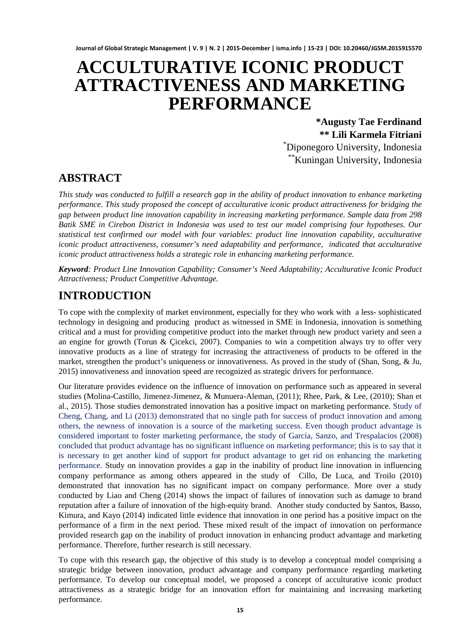# **ACCULTURATIVE ICONIC PRODUCT ATTRACTIVENESS AND MARKETING PERFORMANCE**

**\*Augusty Tae Ferdinand \*\* Lili Karmela Fitriani** \* Diponegoro University, Indonesia \*\*Kuningan University, Indonesia

# **ABSTRACT**

*This study was conducted to fulfill a research gap in the ability of product innovation to enhance marketing performance. This study proposed the concept of acculturative iconic product attractiveness for bridging the gap between product line innovation capability in increasing marketing performance. Sample data from 298 Batik SME in Cirebon District in Indonesia was used to test our model comprising four hypotheses. Our statistical test confirmed our model with four variables: product line innovation capability, acculturative iconic product attractiveness, consumer's need adaptability and performance, indicated that acculturative iconic product attractiveness holds a strategic role in enhancing marketing performance.*

*Keyword: Product Line Innovation Capability; Consumer's Need Adaptability; Acculturative Iconic Product Attractiveness; Product Competitive Advantage.*

# **INTRODUCTION**

To cope with the complexity of market environment, especially for they who work with a less- sophisticated technology in designing and producing product as witnessed in SME in Indonesia, innovation is something critical and a must for providing competitive product into the market through new product variety and seen a an engine for growth [\(Torun & Çicekci, 2007\)](#page-8-0). Companies to win a competition always try to offer very innovative products as a line of strategy for increasing the attractiveness of products to be offered in the market, strengthen the product's uniqueness or innovativeness. As proved in the study of [\(Shan, Song, & Ju,](#page-7-0)  [2015\)](#page-7-0) innovativeness and innovation speed are recognized as strategic drivers for performance.

Our literature provides evidence on the influence of innovation on performance such as appeared in several studies [\(Molina-Castillo, Jimenez-Jimenez, & Munuera-Aleman, \(2011\)](#page-7-1); [Rhee, Park, & Lee, \(2010\)](#page-7-2); [Shan et](#page-7-0)  [al., 2015\)](#page-7-0). Those studies demonstrated innovation has a positive impact on marketing performance. Study of [Cheng, Chang, and Li \(2013\)](#page-6-0) demonstrated that no single path for success of product innovation and among others, the newness of innovation is a source of the marketing success. Even though product advantage is considered important to foster marketing performance, the study of [García, Sanzo, and Trespalacios \(2008\)](#page-6-1) concluded that product advantage has no significant influence on marketing performance; this is to say that it is necessary to get another kind of support for product advantage to get rid on enhancing the marketing performance. Study on innovation provides a gap in the inability of product line innovation in influencing company performance as among others appeared in the study of [Cillo, De Luca, and Troilo \(2010\)](#page-6-2) demonstrated that innovation has no significant impact on company performance. More over a study conducted by [Liao and Cheng \(2014\)](#page-7-3) shows the impact of failures of innovation such as damage to brand reputation after a failure of innovation of the high-equity brand. Another study conducted by [Santos, Basso,](#page-7-4)  Kimura, and Kayo (2014) indicated little evidence that innovation in one period has a positive impact on the performance of a firm in the next period. These mixed result of the impact of innovation on performance provided research gap on the inability of product innovation in enhancing product advantage and marketing performance. Therefore, further research is still necessary.

To cope with this research gap, the objective of this study is to develop a conceptual model comprising a strategic bridge between innovation, product advantage and company performance regarding marketing performance. To develop our conceptual model, we proposed a concept of acculturative iconic product attractiveness as a strategic bridge for an innovation effort for maintaining and increasing marketing performance.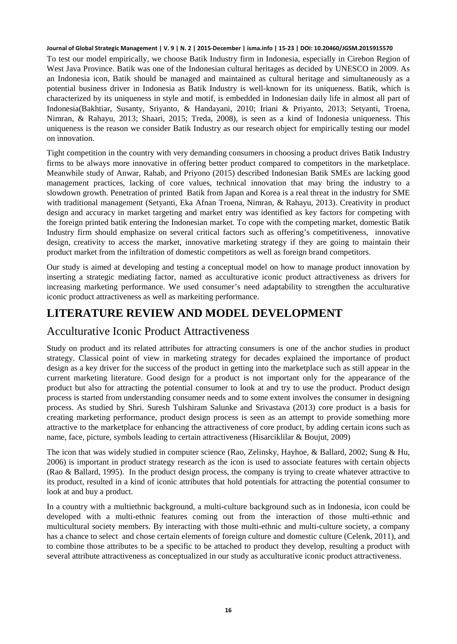To test our model empirically, we choose Batik Industry firm in Indonesia, especially in Cirebon Region of West Java Province. Batik was one of the Indonesian cultural heritages as decided by UNESCO in 2009. As an Indonesia icon, Batik should be managed and maintained as cultural heritage and simultaneously as a potential business driver in Indonesia as Batik Industry is well-known for its uniqueness. Batik, which is characterized by its uniqueness in style and motif, is embedded in Indonesian daily life in almost all part of Indonesia[\(Bakhtiar, Susanty, Sriyanto, & Handayani, 2010;](#page-6-3) [Iriani & Priyanto, 2013;](#page-7-5) [Setyanti, Troena,](#page-7-6)  [Nimran, & Rahayu, 2013;](#page-7-6) [Shaari, 2015;](#page-7-7) [Treda, 2008\)](#page-8-1), is seen as a kind of Indonesia uniqueness. This uniqueness is the reason we consider Batik Industry as our research object for empirically testing our model on innovation.

Tight competition in the country with very demanding consumers in choosing a product drives Batik Industry firms to be always more innovative in offering better product compared to competitors in the marketplace. Meanwhile study of [Anwar, Rahab, and Priyono \(2015\)](#page-6-4) described Indonesian Batik SMEs are lacking good management practices, lacking of core values, technical innovation that may bring the industry to a slowdown growth. Penetration of printed Batik from Japan and Korea is a real threat in the industry for SME with traditional management [\(Setyanti, Eka Afnan Troena, Nimran, & Rahayu, 2013\)](#page-7-8). Creativity in product design and accuracy in market targeting and market entry was identified as key factors for competing with the foreign printed batik entering the Indonesian market. To cope with the competing market, domestic Batik Industry firm should emphasize on several critical factors such as offering's competitiveness, innovative design, creativity to access the market, innovative marketing strategy if they are going to maintain their product market from the infiltration of domestic competitors as well as foreign brand competitors.

Our study is aimed at developing and testing a conceptual model on how to manage product innovation by inserting a strategic mediating factor, named as acculturative iconic product attractiveness as drivers for increasing marketing performance. We used consumer's need adaptability to strengthen the acculturative iconic product attractiveness as well as markeiting performance.

# **LITERATURE REVIEW AND MODEL DEVELOPMENT**

### Acculturative Iconic Product Attractiveness

Study on product and its related attributes for attracting consumers is one of the anchor studies in product strategy. Classical point of view in marketing strategy for decades explained the importance of product design as a key driver for the success of the product in getting into the marketplace such as still appear in the current marketing literature. Good design for a product is not important only for the appearance of the product but also for attracting the potential consumer to look at and try to use the product. Product design process is started from understanding consumer needs and to some extent involves the consumer in designing process. As studied by [Shri. Suresh Tulshiram Salunke and Srivastava \(2013\)](#page-7-9) core product is a basis for creating marketing performance, product design process is seen as an attempt to provide something more attractive to the marketplace for enhancing the attractiveness of core product, by adding certain icons such as name, face, picture, symbols leading to certain attractiveness [\(Hisarciklilar & Boujut, 2009\)](#page-6-5)

The icon that was widely studied in computer science [\(Rao, Zelinsky, Hayhoe, & Ballard, 2002;](#page-7-10) Sung [& Hu,](#page-8-2)  [2006\)](#page-8-2) is important in product strategy research as the icon is used to associate features with certain objects [\(Rao & Ballard, 1995\)](#page-7-11). In the product design process, the company is trying to create whatever attractive to its product, resulted in a kind of iconic attributes that hold potentials for attracting the potential consumer to look at and buy a product.

In a country with a multiethnic background, a multi-culture background such as in Indonesia, icon could be developed with a multi-ethnic features coming out from the interaction of those multi-ethnic and multicultural society members. By interacting with those multi-ethnic and multi-culture society, a company has a chance to select and chose certain elements of foreign culture and domestic culture (Celenk, 2011), and to combine those attributes to be a specific to be attached to product they develop, resulting a product with several attribute attractiveness as conceptualized in our study as acculturative iconic product attractiveness.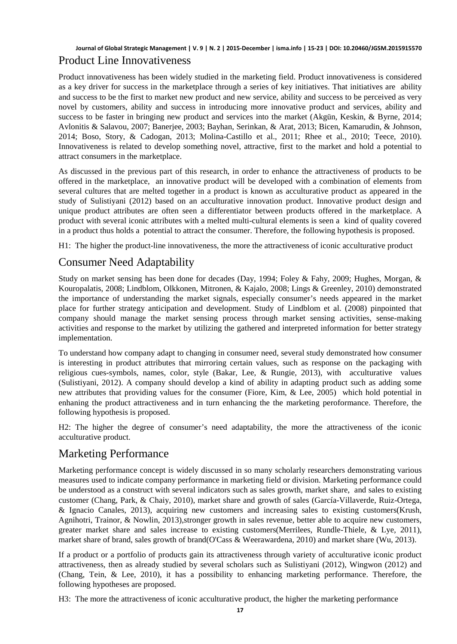#### **Journal of Global Strategic Management | V. 9 | N. 2 | 2015-December | isma.info | 15-23 | DOI: 10.20460/JGSM.2015915570** Product Line Innovativeness

Product innovativeness has been widely studied in the marketing field. Product innovativeness is considered as a key driver for success in the marketplace through a series of key initiatives. That initiatives are ability and success to be the first to market new product and new service, ability and success to be perceived as very novel by customers, ability and success in introducing more innovative product and services, ability and success to be faster in bringing new product and services into the market [\(Akgün, Keskin, & Byrne, 2014;](#page-6-6) [Avlonitis & Salavou, 2007;](#page-6-7) [Banerjee, 2003;](#page-6-8) [Bayhan, Serinkan, & Arat, 2013;](#page-6-9) [Bicen, Kamarudin, & Johnson,](#page-6-10)  [2014;](#page-6-10) [Boso, Story, & Cadogan, 2013;](#page-6-11) [Molina-Castillo et al., 2011;](#page-7-1) [Rhee et al., 2010;](#page-7-2) [Teece, 2010\)](#page-8-3). Innovativeness is related to develop something novel, attractive, first to the market and hold a potential to attract consumers in the marketplace.

As discussed in the previous part of this research, in order to enhance the attractiveness of products to be offered in the marketplace, an innovative product will be developed with a combination of elements from several cultures that are melted together in a product is known as acculturative product as appeared in the study of [Sulistiyani \(2012\)](#page-7-12) based on an acculturative innovation product. Innovative product design and unique product attributes are often seen a differentiator between products offered in the marketplace. A product with several iconic attributes with a melted multi-cultural elements is seen a kind of quality covered in a product thus holds a potential to attract the consumer. Therefore, the following hypothesis is proposed.

H1: The higher the product-line innovativeness, the more the attractiveness of iconic acculturative product

# Consumer Need Adaptability

Study on market sensing has been done for decades [\(Day, 1994;](#page-6-12) [Foley & Fahy, 2009;](#page-6-13) [Hughes, Morgan, &](#page-6-14)  [Kouropalatis, 2008;](#page-6-14) [Lindblom, Olkkonen, Mitronen, & Kajalo, 2008;](#page-7-13) [Lings & Greenley, 2010\)](#page-7-14) demonstrated the importance of understanding the market signals, especially consumer's needs appeared in the market place for further strategy anticipation and development. Study of [Lindblom et al. \(2008\)](#page-7-13) pinpointed that company should manage the market sensing process through market sensing activities, sense-making activities and response to the market by utilizing the gathered and interpreted information for better strategy implementation.

To understand how company adapt to changing in consumer need, several study demonstrated how consumer is interesting in product attributes that mirroring certain values, such as response on the packaging with religious cues-symbols, names, color, style [\(Bakar, Lee, & Rungie, 2013\)](#page-6-15), with acculturative values [\(Sulistiyani, 2012\)](#page-7-12). A company should develop a kind of ability in adapting product such as adding some new attributes that providing values for the consumer [\(Fiore, Kim, & Lee, 2005\)](#page-6-16) which hold potential in enhaning the product attractiveness and in turn enhancing the the marketing peroformance. Therefore, the following hypothesis is proposed.

H2: The higher the degree of consumer's need adaptability, the more the attractiveness of the iconic acculturative product.

### Marketing Performance

Marketing performance concept is widely discussed in so many scholarly researchers demonstrating various measures used to indicate company performance in marketing field or division. Marketing performance could be understood as a construct with several indicators such as sales growth, market share, and sales to existing customer [\(Chang, Park, & Chaiy, 2010\)](#page-6-17), market share and growth of sales [\(García-Villaverde, Ruiz-Ortega,](#page-6-18)  [& Ignacio Canales, 2013\)](#page-6-18), acquiring new customers and increasing sales to existing customers[\(Krush,](#page-7-15)  [Agnihotri, Trainor, & Nowlin, 2013\)](#page-7-15), stronger growth in sales revenue, better able to acquire new customers, greater market share and sales increase to existing customers[\(Merrilees, Rundle-Thiele, & Lye, 2011\)](#page-7-16), market share of brand, sales growth of brand[\(O'Cass & Weerawardena, 2010\)](#page-7-17) and market share [\(Wu, 2013\)](#page-8-4).

If a product or a portfolio of products gain its attractiveness through variety of acculturative iconic product attractiveness, then as already studied by several scholars such as [Sulistiyani \(2012\),](#page-7-12) [Wingwon \(2012\)](#page-8-5) and [\(Chang, Tein, & Lee, 2010\)](#page-6-19), it has a possibility to enhancing marketing performance. Therefore, the following hypotheses are proposed.

H3: The more the attractiveness of iconic acculturative product, the higher the marketing performance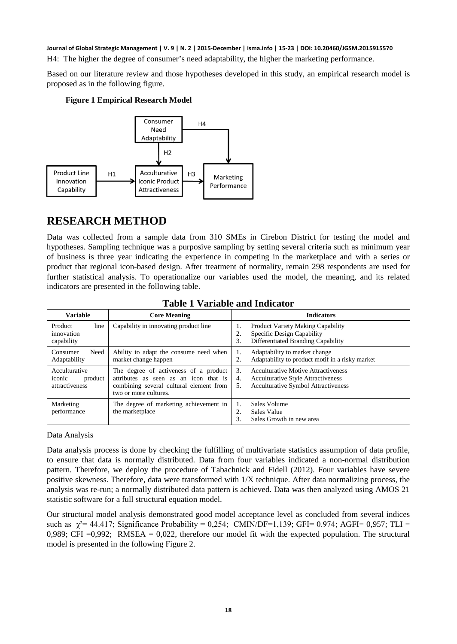H4: The higher the degree of consumer's need adaptability, the higher the marketing performance.

Based on our literature review and those hypotheses developed in this study, an empirical research model is proposed as in the following figure.

#### **Figure 1 Empirical Research Model**



# **RESEARCH METHOD**

Data was collected from a sample data from 310 SMEs in Cirebon District for testing the model and hypotheses. Sampling technique was a purposive sampling by setting several criteria such as minimum year of business is three year indicating the experience in competing in the marketplace and with a series or product that regional icon-based design. After treatment of normality, remain 298 respondents are used for further statistical analysis. To operationalize our variables used the model, the meaning, and its related indicators are presented in the following table.

| <b>Variable</b>                                      | <b>Core Meaning</b>                                                                                                                                | <b>Indicators</b>                                                                                                                                       |  |
|------------------------------------------------------|----------------------------------------------------------------------------------------------------------------------------------------------------|---------------------------------------------------------------------------------------------------------------------------------------------------------|--|
| line<br>Product<br>innovation<br>capability          | Capability in innovating product line                                                                                                              | Product Variety Making Capability<br>1.<br>Specific Design Capability<br>2.<br>Differentiated Branding Capability<br>3.                                 |  |
| Need<br>Consumer<br>Adaptability                     | Ability to adapt the consume need when<br>market change happen                                                                                     | Adaptability to market change<br>1.<br>Adaptability to product motif in a risky market<br>2.                                                            |  |
| Acculturative<br>iconic<br>product<br>attractiveness | The degree of activeness of a product<br>attributes as seen as an icon that is<br>combining several cultural element from<br>two or more cultures. | <b>Acculturative Motive Attractiveness</b><br>3.<br><b>Acculturative Style Attractiveness</b><br>4.<br><b>Acculturative Symbol Attractiveness</b><br>5. |  |
| Marketing<br>performance                             | The degree of marketing achievement in<br>the marketplace                                                                                          | Sales Volume<br>1.<br>Sales Value<br>Sales Growth in new area<br>3.                                                                                     |  |

#### **Table 1 Variable and Indicator**

#### Data Analysis

Data analysis process is done by checking the fulfilling of multivariate statistics assumption of data profile, to ensure that data is normally distributed. Data from four variables indicated a non-normal distribution pattern. Therefore, we deploy the procedure of [Tabachnick and Fidell \(2012\).](#page-8-6) Four variables have severe positive skewness. Therefore, data were transformed with 1/X technique. After data normalizing process, the analysis was re-run; a normally distributed data pattern is achieved. Data was then analyzed using AMOS 21 statistic software for a full structural equation model.

Our structural model analysis demonstrated good model acceptance level as concluded from several indices such as  $\chi^2$  = 44.417; Significance Probability = 0,254; CMIN/DF=1,139; GFI= 0.974; AGFI= 0,957; TLI = 0,989; CFI  $=0.992$ ; RMSEA  $= 0.022$ , therefore our model fit with the expected population. The structural model is presented in the following Figure 2.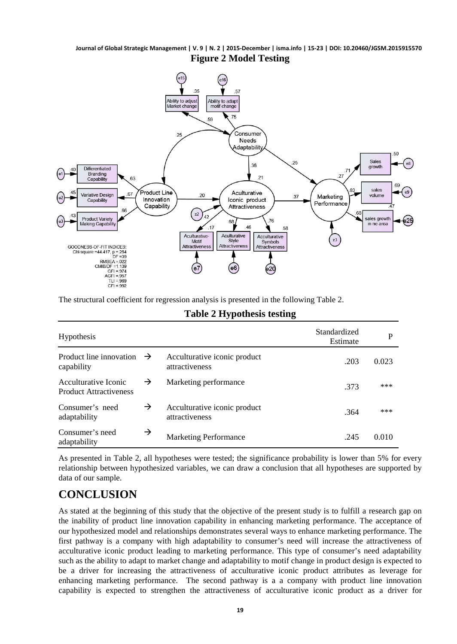**Journal of Global Strategic Management | V. 9 | N. 2 | 2015-December | isma.info | 15-23 | DOI: 10.20460/JGSM.2015915570 Figure 2 Model Testing**



The structural coefficient for regression analysis is presented in the following Table 2.

| <b>Hypothesis</b>                                     | Standardized<br>Estimate | P                                              |      |       |
|-------------------------------------------------------|--------------------------|------------------------------------------------|------|-------|
| Product line innovation<br>capability                 | $\rightarrow$            | Acculturative iconic product<br>attractiveness | .203 | 0.023 |
| Acculturative Iconic<br><b>Product Attractiveness</b> | →                        | Marketing performance                          | .373 | ***   |
| Consumer's need<br>adaptability                       | →                        | Acculturative iconic product<br>attractiveness | .364 | ***   |
| Consumer's need<br>adaptability                       | $\rightarrow$            | <b>Marketing Performance</b>                   | .245 | 0.010 |

#### **Table 2 Hypothesis testing**

As presented in Table 2, all hypotheses were tested; the significance probability is lower than 5% for every relationship between hypothesized variables, we can draw a conclusion that all hypotheses are supported by data of our sample.

# **CONCLUSION**

As stated at the beginning of this study that the objective of the present study is to fulfill a research gap on the inability of product line innovation capability in enhancing marketing performance. The acceptance of our hypothesized model and relationships demonstrates several ways to enhance marketing performance. The first pathway is a company with high adaptability to consumer's need will increase the attractiveness of acculturative iconic product leading to marketing performance. This type of consumer's need adaptability such as the ability to adapt to market change and adaptability to motif change in product design is expected to be a driver for increasing the attractiveness of acculturative iconic product attributes as leverage for enhancing marketing performance. The second pathway is a a company with product line innovation capability is expected to strengthen the attractiveness of acculturative iconic product as a driver for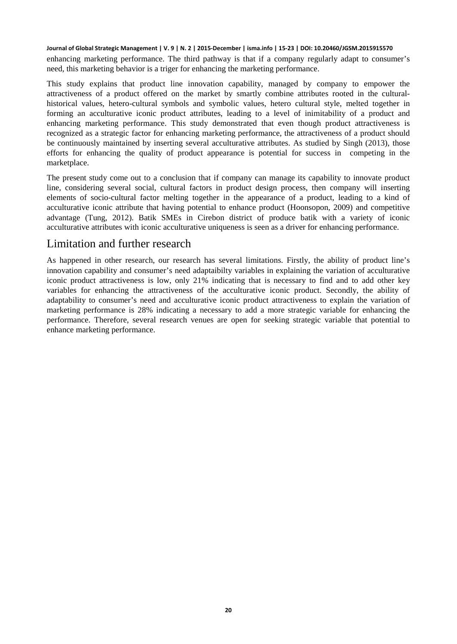enhancing marketing performance. The third pathway is that if a company regularly adapt to consumer's need, this marketing behavior is a triger for enhancing the marketing performance.

This study explains that product line innovation capability, managed by company to empower the attractiveness of a product offered on the market by smartly combine attributes rooted in the culturalhistorical values, hetero-cultural symbols and symbolic values, hetero cultural style, melted together in forming an acculturative iconic product attributes, leading to a level of inimitability of a product and enhancing marketing performance. This study demonstrated that even though product attractiveness is recognized as a strategic factor for enhancing marketing performance, the attractiveness of a product should be continuously maintained by inserting several acculturative attributes. As studied by [Singh \(2013\),](#page-7-18) those efforts for enhancing the quality of product appearance is potential for success in competing in the marketplace.

The present study come out to a conclusion that if company can manage its capability to innovate product line, considering several social, cultural factors in product design process, then company will inserting elements of socio-cultural factor melting together in the appearance of a product, leading to a kind of acculturative iconic attribute that having potential to enhance product (Hoonsopon, 2009) and competitive advantage (Tung, 2012). Batik SMEs in Cirebon district of produce batik with a variety of iconic acculturative attributes with iconic acculturative uniqueness is seen as a driver for enhancing performance.

#### Limitation and further research

As happened in other research, our research has several limitations. Firstly, the ability of product line's innovation capability and consumer's need adaptaibilty variables in explaining the variation of acculturative iconic product attractiveness is low, only 21% indicating that is necessary to find and to add other key variables for enhancing the attractiveness of the acculturative iconic product. Secondly, the ability of adaptability to consumer's need and acculturative iconic product attractiveness to explain the variation of marketing performance is 28% indicating a necessary to add a more strategic variable for enhancing the performance. Therefore, several research venues are open for seeking strategic variable that potential to enhance marketing performance.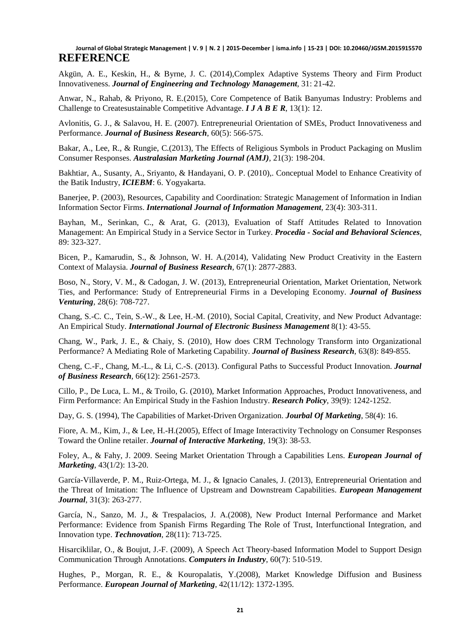<span id="page-6-6"></span>Akgün, A. E., Keskin, H., & Byrne, J. C. (2014),Complex Adaptive Systems Theory and Firm Product Innovativeness. *Journal of Engineering and Technology Management*, 31: 21-42.

<span id="page-6-4"></span>Anwar, N., Rahab, & Priyono, R. E.(2015), Core Competence of Batik Banyumas Industry: Problems and Challenge to Createsustainable Competitive Advantage. *I J A B E R*, 13(1): 12.

<span id="page-6-7"></span>Avlonitis, G. J., & Salavou, H. E. (2007). Entrepreneurial Orientation of SMEs, Product Innovativeness and Performance. *Journal of Business Research*, 60(5): 566-575.

<span id="page-6-15"></span>Bakar, A., Lee, R., & Rungie, C.(2013), The Effects of Religious Symbols in Product Packaging on Muslim Consumer Responses. *Australasian Marketing Journal (AMJ)*, 21(3): 198-204.

<span id="page-6-3"></span>Bakhtiar, A., Susanty, A., Sriyanto, & Handayani, O. P. (2010),. Conceptual Model to Enhance Creativity of the Batik Industry, *ICIEBM*: 6. Yogyakarta.

<span id="page-6-8"></span>Banerjee, P. (2003), Resources, Capability and Coordination: Strategic Management of Information in Indian Information Sector Firms. *International Journal of Information Management*, 23(4): 303-311.

<span id="page-6-9"></span>Bayhan, M., Serinkan, C., & Arat, G. (2013), Evaluation of Staff Attitudes Related to Innovation Management: An Empirical Study in a Service Sector in Turkey. *Procedia - Social and Behavioral Sciences*, 89: 323-327.

<span id="page-6-10"></span>Bicen, P., Kamarudin, S., & Johnson, W. H. A.(2014), Validating New Product Creativity in the Eastern Context of Malaysia. *Journal of Business Research*, 67(1): 2877-2883.

<span id="page-6-11"></span>Boso, N., Story, V. M., & Cadogan, J. W. (2013), Entrepreneurial Orientation, Market Orientation, Network Ties, and Performance: Study of Entrepreneurial Firms in a Developing Economy. *Journal of Business Venturing*, 28(6): 708-727.

<span id="page-6-19"></span>Chang, S.-C. C., Tein, S.-W., & Lee, H.-M. (2010), Social Capital, Creativity, and New Product Advantage: An Empirical Study. *International Journal of Electronic Business Management* 8(1): 43-55.

<span id="page-6-17"></span>Chang, W., Park, J. E., & Chaiy, S. (2010), How does CRM Technology Transform into Organizational Performance? A Mediating Role of Marketing Capability. *Journal of Business Research*, 63(8): 849-855.

<span id="page-6-0"></span>Cheng, C.-F., Chang, M.-L., & Li, C.-S. (2013). Configural Paths to Successful Product Innovation. *Journal of Business Research*, 66(12): 2561-2573.

<span id="page-6-2"></span>Cillo, P., De Luca, L. M., & Troilo, G. (2010), Market Information Approaches, Product Innovativeness, and Firm Performance: An Empirical Study in the Fashion Industry. *Research Policy*, 39(9): 1242-1252.

<span id="page-6-12"></span>Day, G. S. (1994), The Capabilities of Market-Driven Organization. *Jourbal Of Marketing*, 58(4): 16.

<span id="page-6-16"></span>Fiore, A. M., Kim, J., & Lee, H.-H.(2005), Effect of Image Interactivity Technology on Consumer Responses Toward the Online retailer. *Journal of Interactive Marketing*, 19(3): 38-53.

<span id="page-6-13"></span>Foley, A., & Fahy, J. 2009. Seeing Market Orientation Through a Capabilities Lens. *European Journal of Marketing*, 43(1/2): 13-20.

<span id="page-6-18"></span>García-Villaverde, P. M., Ruiz-Ortega, M. J., & Ignacio Canales, J. (2013), Entrepreneurial Orientation and the Threat of Imitation: The Influence of Upstream and Downstream Capabilities. *European Management Journal*, 31(3): 263-277.

<span id="page-6-1"></span>García, N., Sanzo, M. J., & Trespalacios, J. A.(2008), New Product Internal Performance and Market Performance: Evidence from Spanish Firms Regarding The Role of Trust, Interfunctional Integration, and Innovation type. *Technovation*, 28(11): 713-725.

<span id="page-6-5"></span>Hisarciklilar, O., & Boujut, J.-F. (2009), A Speech Act Theory-based Information Model to Support Design Communication Through Annotations. *Computers in Industry*, 60(7): 510-519.

<span id="page-6-14"></span>Hughes, P., Morgan, R. E., & Kouropalatis, Y.(2008), Market Knowledge Diffusion and Business Performance. *European Journal of Marketing*, 42(11/12): 1372-1395.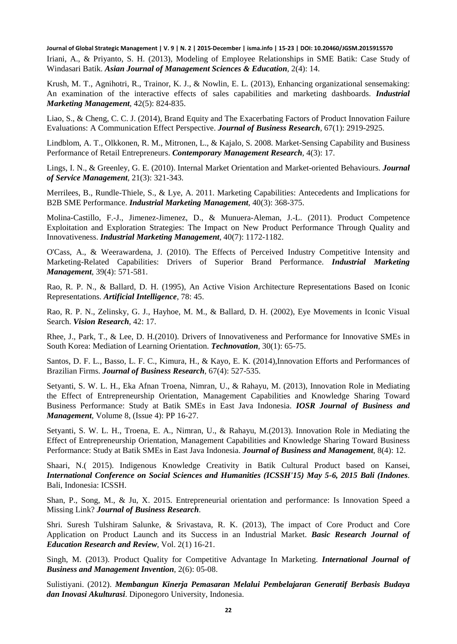<span id="page-7-5"></span>Iriani, A., & Priyanto, S. H. (2013), Modeling of Employee Relationships in SME Batik: Case Study of Windasari Batik. *Asian Journal of Management Sciences & Education*, 2(4): 14.

<span id="page-7-15"></span>Krush, M. T., Agnihotri, R., Trainor, K. J., & Nowlin, E. L. (2013), Enhancing organizational sensemaking: An examination of the interactive effects of sales capabilities and marketing dashboards. *Industrial Marketing Management*, 42(5): 824-835.

<span id="page-7-3"></span>Liao, S., & Cheng, C. C. J. (2014), Brand Equity and The Exacerbating Factors of Product Innovation Failure Evaluations: A Communication Effect Perspective. *Journal of Business Research*, 67(1): 2919-2925.

<span id="page-7-13"></span>Lindblom, A. T., Olkkonen, R. M., Mitronen, L., & Kajalo, S. 2008. Market-Sensing Capability and Business Performance of Retail Entrepreneurs. *Contemporary Management Research*, 4(3): 17.

<span id="page-7-14"></span>Lings, I. N., & Greenley, G. E. (2010). Internal Market Orientation and Market-oriented Behaviours. *Journal of Service Management*, 21(3): 321-343.

<span id="page-7-16"></span>Merrilees, B., Rundle-Thiele, S., & Lye, A. 2011. Marketing Capabilities: Antecedents and Implications for B2B SME Performance. *Industrial Marketing Management*, 40(3): 368-375.

<span id="page-7-1"></span>Molina-Castillo, F.-J., Jimenez-Jimenez, D., & Munuera-Aleman, J.-L. (2011). Product Competence Exploitation and Exploration Strategies: The Impact on New Product Performance Through Quality and Innovativeness. *Industrial Marketing Management*, 40(7): 1172-1182.

<span id="page-7-17"></span>O'Cass, A., & Weerawardena, J. (2010). The Effects of Perceived Industry Competitive Intensity and Marketing-Related Capabilities: Drivers of Superior Brand Performance. *Industrial Marketing Management*, 39(4): 571-581.

<span id="page-7-11"></span>Rao, R. P. N., & Ballard, D. H. (1995), An Active Vision Architecture Representations Based on Iconic Representations. *Artificial Intelligence*, 78: 45.

<span id="page-7-10"></span>Rao, R. P. N., Zelinsky, G. J., Hayhoe, M. M., & Ballard, D. H. (2002), Eye Movements in Iconic Visual Search. *Vision Research*, 42: 17.

<span id="page-7-2"></span>Rhee, J., Park, T., & Lee, D. H.(2010). Drivers of Innovativeness and Performance for Innovative SMEs in South Korea: Mediation of Learning Orientation. *Technovation*, 30(1): 65-75.

<span id="page-7-4"></span>Santos, D. F. L., Basso, L. F. C., Kimura, H., & Kayo, E. K. (2014),Innovation Efforts and Performances of Brazilian Firms. *Journal of Business Research*, 67(4): 527-535.

<span id="page-7-8"></span>Setyanti, S. W. L. H., Eka Afnan Troena, Nimran, U., & Rahayu, M. (2013), Innovation Role in Mediating the Effect of Entrepreneurship Orientation, Management Capabilities and Knowledge Sharing Toward Business Performance: Study at Batik SMEs in East Java Indonesia. *IOSR Journal of Business and Management*, Volume 8, (Issue 4): PP 16-27.

<span id="page-7-6"></span>Setyanti, S. W. L. H., Troena, E. A., Nimran, U., & Rahayu, M.(2013). Innovation Role in Mediating the Effect of Entrepreneurship Orientation, Management Capabilities and Knowledge Sharing Toward Business Performance: Study at Batik SMEs in East Java Indonesia. *Journal of Business and Management*, 8(4): 12.

<span id="page-7-7"></span>Shaari, N.( 2015). Indigenous Knowledge Creativity in Batik Cultural Product based on Kansei, *International Conference on Social Sciences and Humanities (ICSSH'15) May 5-6, 2015 Bali (Indones*. Bali, Indonesia: ICSSH.

<span id="page-7-0"></span>Shan, P., Song, M., & Ju, X. 2015. Entrepreneurial orientation and performance: Is Innovation Speed a Missing Link? *Journal of Business Research*.

<span id="page-7-9"></span>Shri. Suresh Tulshiram Salunke, & Srivastava, R. K. (2013), The impact of Core Product and Core Application on Product Launch and its Success in an Industrial Market. *Basic Research Journal of Education Research and Review*, Vol. 2(1) 16-21.

<span id="page-7-18"></span>Singh, M. (2013). Product Quality for Competitive Advantage In Marketing. *International Journal of Business and Management Invention*, 2(6): 05-08.

<span id="page-7-12"></span>Sulistiyani. (2012). *Membangun Kinerja Pemasaran Melalui Pembelajaran Generatif Berbasis Budaya dan Inovasi Akulturasi*. Diponegoro University, Indonesia.